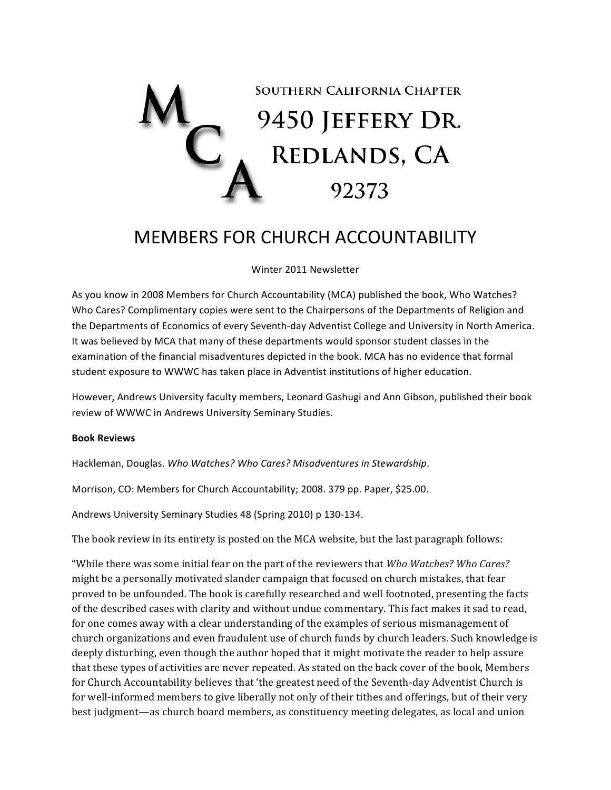

## MEMBERS FOR CHURCH ACCOUNTABILITY

Winter 2011 Newsletter

As you know in 2008 Members for Church Accountability (MCA) published the book, Who Watches? Who Cares? Complimentary copies were sent to the Chairpersons of the Departments of Religion and the Departments of Economics of every Seventh-day Adventist College and University in North America. It was believed by MCA that many of these departments would sponsor student classes in the examination of the financial misadventures depicted in the book. MCA has no evidence that formal student exposure to WWWC has taken place in Adventist institutions of higher education.

However, Andrews University faculty members, Leonard Gashugi and Ann Gibson, published their book review of WWWC in Andrews University Seminary Studies.

## **Book\$Reviews**

Hackleman, Douglas. Who Watches? Who Cares? Misadventures in Stewardship.

Morrison, CO: Members for Church Accountability; 2008. 379 pp. Paper, \$25.00.

Andrews University Seminary Studies 48 (Spring 2010) p 130-134.

The book review in its entirety is posted on the MCA website, but the last paragraph follows:

"While there was some initial fear on the part of the reviewers that *Who Watches? Who Cares?* might be a personally motivated slander campaign that focused on church mistakes, that fear proved to be unfounded. The book is carefully researched and well footnoted, presenting the facts of the described cases with clarity and without undue commentary. This fact makes it sad to read, for one comes away with a clear understanding of the examples of serious mismanagement of church organizations and even fraudulent use of church funds by church leaders. Such knowledge is deeply disturbing, even though the author hoped that it might motivate the reader to help assure that these types of activities are never repeated. As stated on the back cover of the book, Members for Church Accountability believes that 'the greatest need of the Seventh-day Adventist Church is for well-informed members to give liberally not only of their tithes and offerings, but of their very best judgment—as church board members, as constituency meeting delegates, as local and union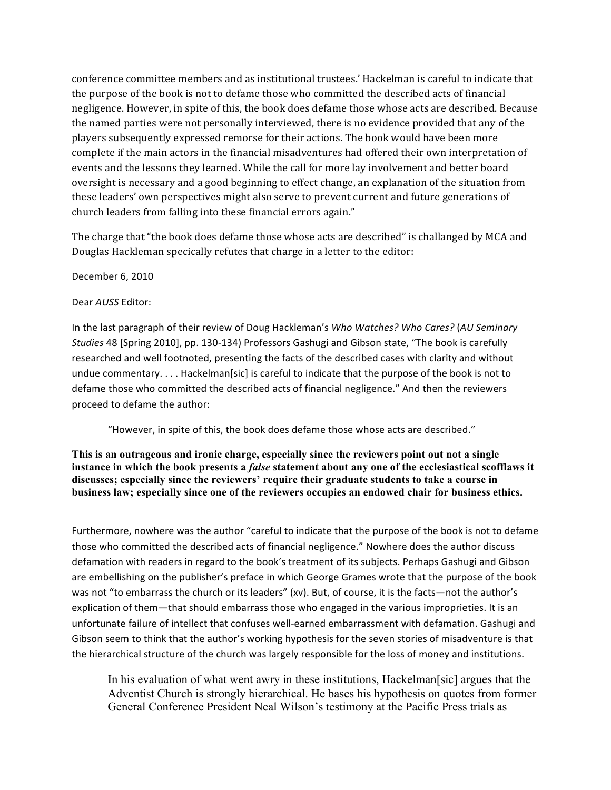conference committee members and as institutional trustees.' Hackelman is careful to indicate that the purpose of the book is not to defame those who committed the described acts of financial negligence. However, in spite of this, the book does defame those whose acts are described. Because the named parties were not personally interviewed, there is no evidence provided that any of the players subsequently expressed remorse for their actions. The book would have been more complete if the main actors in the financial misadventures had offered their own interpretation of events and the lessons they learned. While the call for more lay involvement and better board oversight is necessary and a good beginning to effect change, an explanation of the situation from these leaders' own perspectives might also serve to prevent current and future generations of church leaders from falling into these financial errors again."

The charge that "the book does defame those whose acts are described" is challanged by MCA and Douglas Hackleman specically refutes that charge in a letter to the editor:

December 6, 2010

Dear AUSS Editor:

In the last paragraph of their review of Doug Hackleman's Who Watches? Who Cares? (AU Seminary Studies 48 [Spring 2010], pp. 130-134) Professors Gashugi and Gibson state, "The book is carefully researched and well footnoted, presenting the facts of the described cases with clarity and without undue commentary. . . . Hackelman[sic] is careful to indicate that the purpose of the book is not to defame those who committed the described acts of financial negligence." And then the reviewers proceed to defame the author:

"However, in spite of this, the book does defame those whose acts are described."

This is an outrageous and ironic charge, especially since the reviewers point out not a single instance in which the book presents a *false* statement about any one of the ecclesiastical scofflaws it discusses; especially since the reviewers' require their graduate students to take a course in business law; especially since one of the reviewers occupies an endowed chair for business ethics.

Furthermore, nowhere was the author "careful to indicate that the purpose of the book is not to defame those who committed the described acts of financial negligence." Nowhere does the author discuss defamation with readers in regard to the book's treatment of its subjects. Perhaps Gashugi and Gibson are embellishing on the publisher's preface in which George Grames wrote that the purpose of the book was not "to embarrass the church or its leaders" (xv). But, of course, it is the facts-not the author's explication of them-that should embarrass those who engaged in the various improprieties. It is an unfortunate failure of intellect that confuses well-earned embarrassment with defamation. Gashugi and Gibson seem to think that the author's working hypothesis for the seven stories of misadventure is that the hierarchical structure of the church was largely responsible for the loss of money and institutions.

In his evaluation of what went awry in these institutions, Hackelman[sic] argues that the Adventist Church is strongly hierarchical. He bases his hypothesis on quotes from former General Conference President Neal Wilson's testimony at the Pacific Press trials as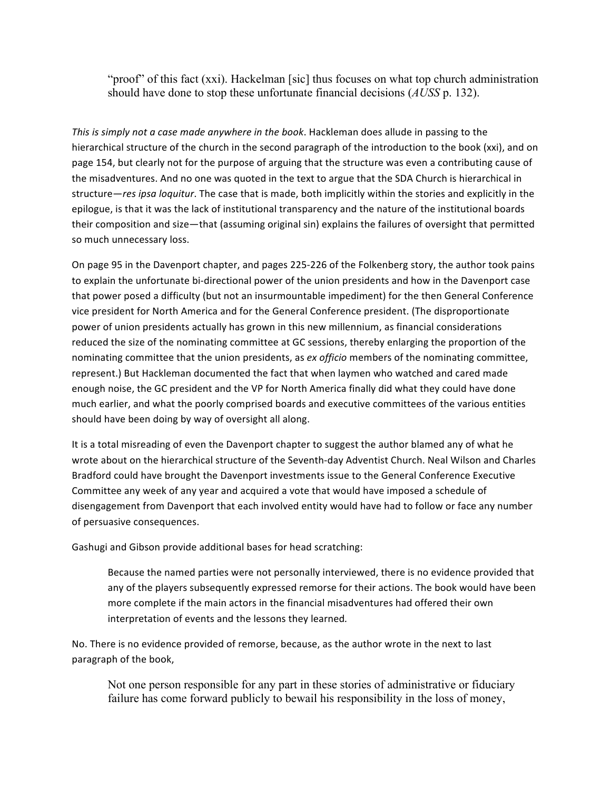"proof" of this fact (xxi). Hackelman [sic] thus focuses on what top church administration should have done to stop these unfortunate financial decisions (*AUSS* p. 132).

This is simply not a case made anywhere in the book. Hackleman does allude in passing to the hierarchical structure of the church in the second paragraph of the introduction to the book (xxi), and on page 154, but clearly not for the purpose of arguing that the structure was even a contributing cause of the misadventures. And no one was quoted in the text to argue that the SDA Church is hierarchical in structure—res ipsa loquitur. The case that is made, both implicitly within the stories and explicitly in the epilogue, is that it was the lack of institutional transparency and the nature of the institutional boards their composition and size-that (assuming original sin) explains the failures of oversight that permitted so much unnecessary loss.

On page 95 in the Davenport chapter, and pages 225-226 of the Folkenberg story, the author took pains to explain the unfortunate bi-directional power of the union presidents and how in the Davenport case that power posed a difficulty (but not an insurmountable impediment) for the then General Conference vice president for North America and for the General Conference president. (The disproportionate power of union presidents actually has grown in this new millennium, as financial considerations reduced the size of the nominating committee at GC sessions, thereby enlarging the proportion of the nominating committee that the union presidents, as ex officio members of the nominating committee, represent.) But Hackleman documented the fact that when laymen who watched and cared made enough noise, the GC president and the VP for North America finally did what they could have done much earlier, and what the poorly comprised boards and executive committees of the various entities should have been doing by way of oversight all along.

It is a total misreading of even the Davenport chapter to suggest the author blamed any of what he wrote about on the hierarchical structure of the Seventh-day Adventist Church. Neal Wilson and Charles Bradford could have brought the Davenport investments issue to the General Conference Executive Committee any week of any year and acquired a vote that would have imposed a schedule of disengagement from Davenport that each involved entity would have had to follow or face any number of persuasive consequences.

Gashugi and Gibson provide additional bases for head scratching:

Because the named parties were not personally interviewed, there is no evidence provided that any of the players subsequently expressed remorse for their actions. The book would have been more complete if the main actors in the financial misadventures had offered their own interpretation of events and the lessons they learned.

No. There is no evidence provided of remorse, because, as the author wrote in the next to last paragraph of the book,

Not one person responsible for any part in these stories of administrative or fiduciary failure has come forward publicly to bewail his responsibility in the loss of money,